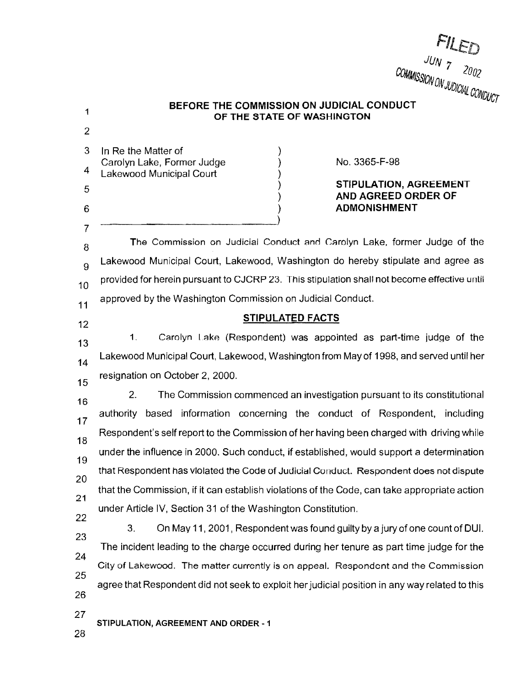1 2 3 4 5 6 7 8 9 10 11 12 13 14 15 16 17 18 19 20 **21 22 23 24 25 26 27 28**  COMMISSION <sup>7</sup> 2002 **SOUTH UN JUDIOUS** '<sup>UAIL</sup>UONDUCT **BEFORE THE COMMISSION ON JUDICIAL CONDUCT OF THE STATE OF WASHINGTON**  In Re the Matter of ) ) ) ) ) Carolyn Lake, Former Judge Lakewood Municipal Court No. 3365-F-98 **STIPULATION, AGREEMENT AND AGREED ORDER OF ADMONISHMENT**  The Commission on Judicial Conduct and Carolyn Lake, former Judge of the Lakewood Municipal Court, Lakewood, Washington do hereby stipulate and agree as provided for herein pursuant to CJCRP 23. This stipulation shall not become effective until approved by the Washington Commission on Judicial Conduct. **STIPULATED FACTS**  1. Carolyn Lake (Respondent) was appointed as part-time judge of the Lakewood Municipal Court, Lakewood, Washington from May of 1998, and served until her resignation on October 2, 2000. 2. The Commission commenced an investigation pursuant to its constitutional authority based information concerning the conduct of Respondent, including Respondent's self report to the Commission of her having been charged with driving while under the influence in 2000. Such conduct, if established, would support a determination that Respondent has violated the Code of Judicial Conduct. Respondent does not dispute that the Commission, if it can establish violations of the Code, can take appropriate action under Article IV, Section 31 of the Washington Constitution. 3. On May 11, 2001, Respondent was found guilty by a jury of one count of DUI. The incident leading to the charge occurred during her tenure as part time judge for the City of Lakewood. The matter currently is on appeal. Respondent and the Commission agree that Respondent did not seek to exploit her judicial position in any way related to this **STIPULATION, AGREEMENT AND ORDER** - **1** 

*JUN*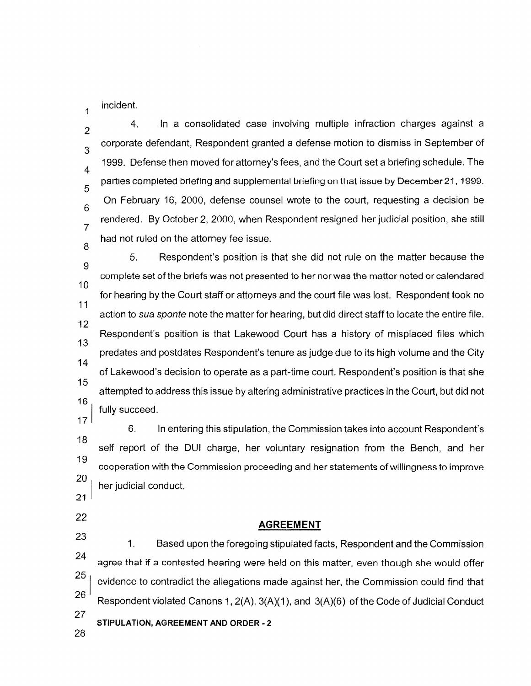incident.

1

2 3 4 5 6 7 8 4. In a consolidated case involving multiple infraction charges against a corporate defendant, Respondent granted a defense motion to dismiss in September of 1999. Defense then moved for attorney's fees, and the Court set a briefing schedule. The parties completed briefing and supplemental briefing on that issue by December 21, 1999. On February 16, 2000, defense counsel wrote to the court, requesting a decision be rendered. By October 2, 2000, when Respondent resigned her judicial position, she still had not ruled on the attorney fee issue.

9 10 11 12 13 14 15 161 5. Respondent's position is that she did not rule on the matter because the complete set of the briefs was not presented to her nor was the matter noted or calendared for hearing by the Court staff or attorneys and the court file was lost. Respondent took no action to sua sponte note the matter for hearing, but did direct staff to locate the entire file. Respondent's position is that Lakewood Court has a history of misplaced files which predates and postdates Respondent's tenure as judge due to its high volume and the City of Lakewood's decision to operate as a part-time court. Respondent's position is that she attempted to address this issue by altering administrative practices in the Court, but did not fully succeed.

17 **18 19 20** 6. In entering this stipulation, the Commission takes into account Respondent's self report of the DUI charge, her voluntary resignation from the Bench, and her cooperation with the Commission proceeding and her statements of willingness to improve her judicial conduct.

**21** 

**22** 

## **AGREEMENT**

**23**  24 251 26 27 1. Based upon the foregoing stipulated facts, Respondent and the Commission agree that if a contested hearing were held on this matter, even though she would offer evidence to contradict the allegations made against her, the Commission could find that Respondent violated Canons 1, 2(A), 3(A)(1 ), and 3(A)(6) of the Code of Judicial Conduct **STIPULATION, AGREEMENT AND ORDER - 2** 

28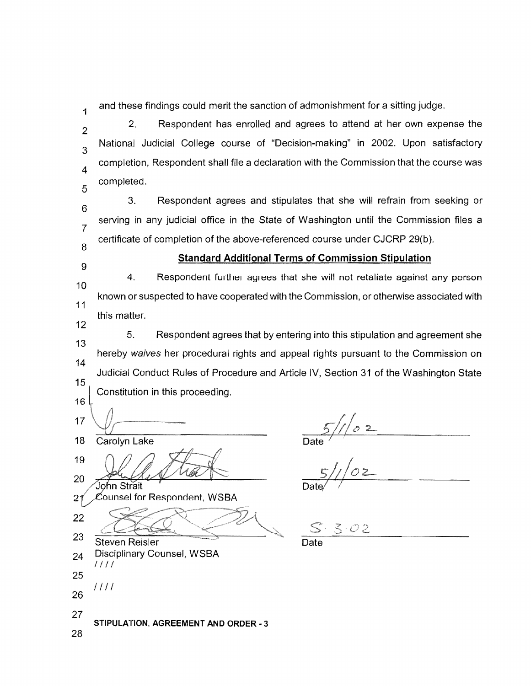1 and these findings could merit the sanction of admonishment for a sitting judge.

2 3 4 5 2. Respondent has enrolled and agrees to attend at her own expense the National Judicial College course of "Decision-making" in 2002. Upon satisfactory completion, Respondent shall file a declaration with the Commission that the course was completed.

6 7 8 3. Respondent agrees and stipulates that she will refrain from seeking or serving in any judicial office in the State of Washington until the Commission files a certificate of completion of the above-referenced course under CJCRP 29(b ).

9

## **Standard Additional Terms of Commission Stipulation**

10 11 12 4. Respondent further agrees that she will not retaliate against any person known or suspected to have cooperated with the Commission, or otherwise associated with this matter.

13 14 15 16 5. Respondent agrees that by entering into this stipulation and agreement she hereby waives her procedural rights and appeal rights pursuant to the Commission on Judicial Conduct Rules of Procedure and Article IV, Section 31 of the Washington State Constitution in this proceeding.

17 18 Carolyn Lake 19 20 John Strait  ${\mathcal{C}}$ ounsel for Respondent, WSBA 2 22 23

Disciplinary Counsel, WSBA

 $\frac{5}{10}$ <br>Date  $\frac{5}{10}$ 

 $3·02$ 

27 **STIPULATION, AGREEMENT AND ORDER** - **3** 

Steven Reisler

I II I

II II

28

24

25

26